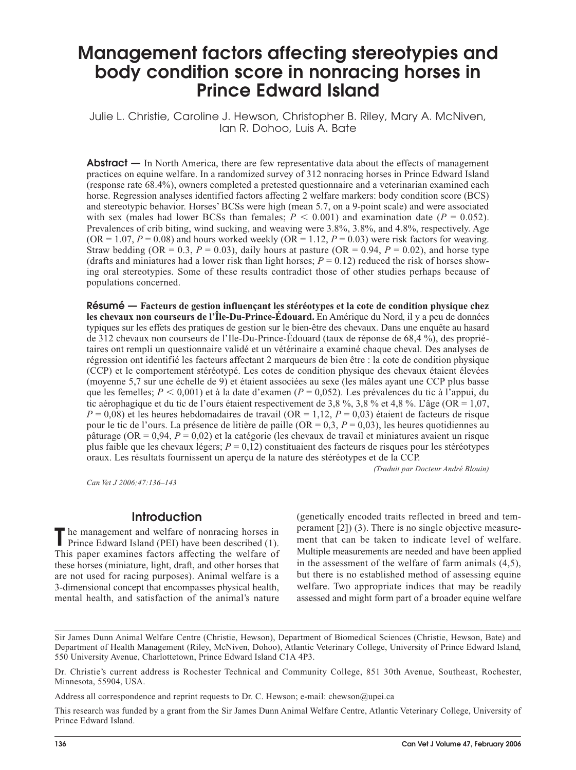# Management factors affecting stereotypies and body condition score in nonracing horses in Prince Edward Island

Julie L. Christie, Caroline J. Hewson, Christopher B. Riley, Mary A. McNiven, Ian R. Dohoo, Luis A. Bate

**Abstract** — In North America, there are few representative data about the effects of management practices on equine welfare. In a randomized survey of 312 nonracing horses in Prince Edward Island (response rate 68.4%), owners completed a pretested questionnaire and a veterinarian examined each horse. Regression analyses identified factors affecting 2 welfare markers: body condition score (BCS) and stereotypic behavior. Horses' BCSs were high (mean 5.7, on a 9-point scale) and were associated with sex (males had lower BCSs than females;  $P < 0.001$ ) and examination date ( $P = 0.052$ ). Prevalences of crib biting, wind sucking, and weaving were 3.8%, 3.8%, and 4.8%, respectively. Age  $(OR = 1.07, P = 0.08)$  and hours worked weekly  $(OR = 1.12, P = 0.03)$  were risk factors for weaving. Straw bedding (OR = 0.3,  $P = 0.03$ ), daily hours at pasture (OR = 0.94,  $P = 0.02$ ), and horse type (drafts and miniatures had a lower risk than light horses;  $P = 0.12$ ) reduced the risk of horses showing oral stereotypies. Some of these results contradict those of other studies perhaps because of populations concerned.

Résumé — **Facteurs de gestion influençant les stéréotypes et la cote de condition physique chez les chevaux non courseurs de l'Île-Du-Prince-Édouard.** En Amérique du Nord, il y a peu de données typiques sur les effets des pratiques de gestion sur le bien-être des chevaux. Dans une enquête au hasard de 312 chevaux non courseurs de l'Ile-Du-Prince-Édouard (taux de réponse de 68,4 %), des propriétaires ont rempli un questionnaire validé et un vétérinaire a examiné chaque cheval. Des analyses de régression ont identifié les facteurs affectant 2 marqueurs de bien être : la cote de condition physique (CCP) et le comportement stéréotypé. Les cotes de condition physique des chevaux étaient élevées (moyenne 5,7 sur une échelle de 9) et étaient associées au sexe (les mâles ayant une CCP plus basse que les femelles; *P* < 0,001) et à la date d'examen (*P* = 0,052). Les prévalences du tic à l'appui, du tic aérophagique et du tic de l'ours étaient respectivement de 3,8 %, 3,8 % et 4,8 %. L'âge (OR = 1,07,  $P = 0.08$ ) et les heures hebdomadaires de travail (OR = 1,12,  $P = 0.03$ ) étaient de facteurs de risque pour le tic de l'ours. La présence de litière de paille (OR = 0,3, *P* = 0,03), les heures quotidiennes au pâturage (OR = 0,94, *P* = 0,02) et la catégorie (les chevaux de travail et miniatures avaient un risque plus faible que les chevaux légers;  $P = 0.12$ ) constituaient des facteurs de risques pour les stéréotypes oraux. Les résultats fournissent un aperçu de la nature des stéréotypes et de la CCP.

*(Traduit par Docteur André Blouin)*

*Can Vet J 2006;47:136–143*

### **Introduction**

The management and welfare of nonracing horses in Prince Edward Island (PEI) have been described (1). This paper examines factors affecting the welfare of these horses (miniature, light, draft, and other horses that are not used for racing purposes). Animal welfare is a 3-dimensional concept that encompasses physical health, mental health, and satisfaction of the animal's nature

(genetically encoded traits reflected in breed and temperament [2]) (3). There is no single objective measurement that can be taken to indicate level of welfare. Multiple measurements are needed and have been applied in the assessment of the welfare of farm animals (4,5), but there is no established method of assessing equine welfare. Two appropriate indices that may be readily assessed and might form part of a broader equine welfare

This research was funded by a grant from the Sir James Dunn Animal Welfare Centre, Atlantic Veterinary College, University of Prince Edward Island.

Sir James Dunn Animal Welfare Centre (Christie, Hewson), Department of Biomedical Sciences (Christie, Hewson, Bate) and Department of Health Management (Riley, McNiven, Dohoo), Atlantic Veterinary College, University of Prince Edward Island, 550 University Avenue, Charlottetown, Prince Edward Island C1A 4P3.

Dr. Christie's current address is Rochester Technical and Community College, 851 30th Avenue, Southeast, Rochester, Minnesota, 55904, USA.

Address all correspondence and reprint requests to Dr. C. Hewson; e-mail: chewson@upei.ca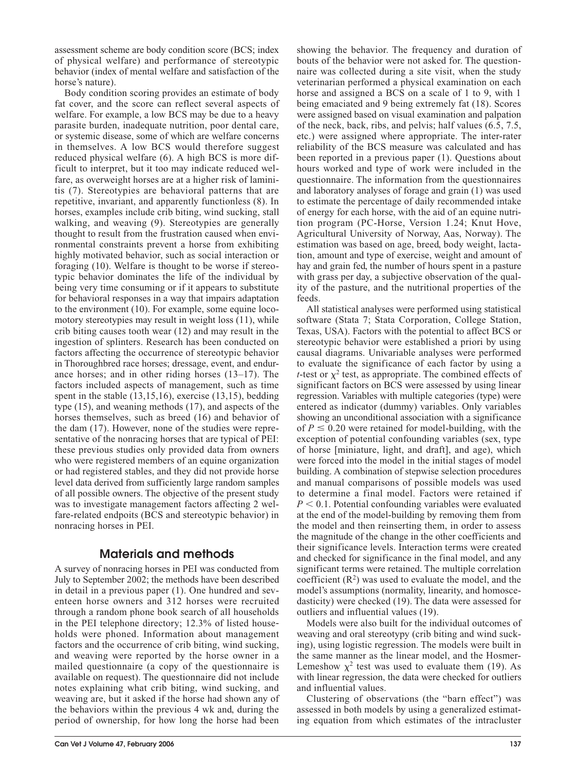assessment scheme are body condition score (BCS; index of physical welfare) and performance of stereotypic behavior (index of mental welfare and satisfaction of the horse's nature).

Body condition scoring provides an estimate of body fat cover, and the score can reflect several aspects of welfare. For example, a low BCS may be due to a heavy parasite burden, inadequate nutrition, poor dental care, or systemic disease, some of which are welfare concerns in themselves. A low BCS would therefore suggest reduced physical welfare (6). A high BCS is more difficult to interpret, but it too may indicate reduced welfare, as overweight horses are at a higher risk of laminitis (7). Stereotypies are behavioral patterns that are repetitive, invariant, and apparently functionless (8). In horses, examples include crib biting, wind sucking, stall walking, and weaving (9). Stereotypies are generally thought to result from the frustration caused when environmental constraints prevent a horse from exhibiting highly motivated behavior, such as social interaction or foraging (10). Welfare is thought to be worse if stereotypic behavior dominates the life of the individual by being very time consuming or if it appears to substitute for behavioral responses in a way that impairs adaptation to the environment (10). For example, some equine locomotory stereotypies may result in weight loss (11), while crib biting causes tooth wear (12) and may result in the ingestion of splinters. Research has been conducted on factors affecting the occurrence of stereotypic behavior in Thoroughbred race horses; dressage, event, and endurance horses; and in other riding horses (13–17). The factors included aspects of management, such as time spent in the stable (13,15,16), exercise (13,15), bedding type (15), and weaning methods (17), and aspects of the horses themselves, such as breed (16) and behavior of the dam (17). However, none of the studies were representative of the nonracing horses that are typical of PEI: these previous studies only provided data from owners who were registered members of an equine organization or had registered stables, and they did not provide horse level data derived from sufficiently large random samples of all possible owners. The objective of the present study was to investigate management factors affecting 2 welfare-related endpoits (BCS and stereotypic behavior) in nonracing horses in PEI.

## Materials and methods

A survey of nonracing horses in PEI was conducted from July to September 2002; the methods have been described in detail in a previous paper (1). One hundred and seventeen horse owners and 312 horses were recruited through a random phone book search of all households in the PEI telephone directory; 12.3% of listed households were phoned. Information about management factors and the occurrence of crib biting, wind sucking, and weaving were reported by the horse owner in a mailed questionnaire (a copy of the questionnaire is available on request). The questionnaire did not include notes explaining what crib biting, wind sucking, and weaving are, but it asked if the horse had shown any of the behaviors within the previous 4 wk and, during the period of ownership, for how long the horse had been

showing the behavior. The frequency and duration of bouts of the behavior were not asked for. The questionnaire was collected during a site visit, when the study veterinarian performed a physical examination on each horse and assigned a BCS on a scale of 1 to 9, with 1 being emaciated and 9 being extremely fat (18). Scores were assigned based on visual examination and palpation of the neck, back, ribs, and pelvis; half values (6.5, 7.5, etc.) were assigned where appropriate. The inter-rater reliability of the BCS measure was calculated and has been reported in a previous paper (1). Questions about hours worked and type of work were included in the questionnaire. The information from the questionnaires and laboratory analyses of forage and grain (1) was used to estimate the percentage of daily recommended intake of energy for each horse, with the aid of an equine nutrition program (PC-Horse, Version 1.24; Knut Hove, Agricultural University of Norway, Aas, Norway). The estimation was based on age, breed, body weight, lactation, amount and type of exercise, weight and amount of hay and grain fed, the number of hours spent in a pasture with grass per day, a subjective observation of the quality of the pasture, and the nutritional properties of the feeds.

All statistical analyses were performed using statistical software (Stata 7; Stata Corporation, College Station, Texas, USA). Factors with the potential to affect BCS or stereotypic behavior were established a priori by using causal diagrams. Univariable analyses were performed to evaluate the significance of each factor by using a *t*-test or  $\chi^2$  test, as appropriate. The combined effects of significant factors on BCS were assessed by using linear regression. Variables with multiple categories (type) were entered as indicator (dummy) variables. Only variables showing an unconditional association with a significance of  $P \le 0.20$  were retained for model-building, with the exception of potential confounding variables (sex, type of horse [miniature, light, and draft], and age), which were forced into the model in the initial stages of model building. A combination of stepwise selection procedures and manual comparisons of possible models was used to determine a final model. Factors were retained if  $P < 0.1$ . Potential confounding variables were evaluated at the end of the model-building by removing them from the model and then reinserting them, in order to assess the magnitude of the change in the other coefficients and their significance levels. Interaction terms were created and checked for significance in the final model, and any significant terms were retained. The multiple correlation coefficient  $(R^2)$  was used to evaluate the model, and the model's assumptions (normality, linearity, and homoscedasticity) were checked (19). The data were assessed for outliers and influential values (19).

Models were also built for the individual outcomes of weaving and oral stereotypy (crib biting and wind sucking), using logistic regression. The models were built in the same manner as the linear model, and the Hosmer-Lemeshow  $\chi^2$  test was used to evaluate them (19). As with linear regression, the data were checked for outliers and influential values.

Clustering of observations (the "barn effect") was assessed in both models by using a generalized estimating equation from which estimates of the intracluster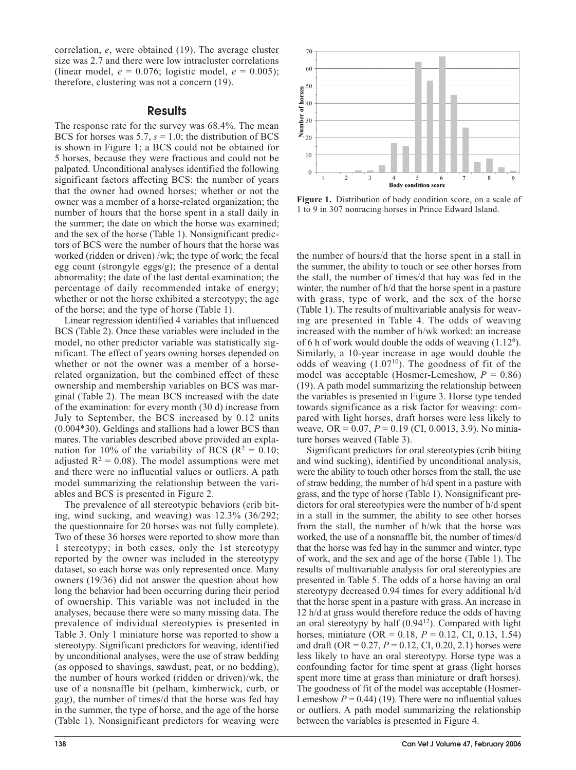correlation, *e*, were obtained (19). The average cluster size was 2.7 and there were low intracluster correlations (linear model,  $e = 0.076$ ; logistic model,  $e = 0.005$ ); therefore, clustering was not a concern (19).

### **Results**

The response rate for the survey was 68.4%. The mean BCS for horses was  $5.7$ ,  $s = 1.0$ ; the distribution of BCS is shown in Figure 1; a BCS could not be obtained for 5 horses, because they were fractious and could not be palpated. Unconditional analyses identified the following significant factors affecting BCS: the number of years that the owner had owned horses; whether or not the owner was a member of a horse-related organization; the number of hours that the horse spent in a stall daily in the summer; the date on which the horse was examined; and the sex of the horse (Table 1). Nonsignificant predictors of BCS were the number of hours that the horse was worked (ridden or driven) /wk; the type of work; the fecal egg count (strongyle eggs/g); the presence of a dental abnormality; the date of the last dental examination; the percentage of daily recommended intake of energy; whether or not the horse exhibited a stereotypy; the age of the horse; and the type of horse (Table 1).

Linear regression identified 4 variables that influenced BCS (Table 2). Once these variables were included in the model, no other predictor variable was statistically significant. The effect of years owning horses depended on whether or not the owner was a member of a horserelated organization, but the combined effect of these ownership and membership variables on BCS was marginal (Table 2). The mean BCS increased with the date of the examination: for every month (30 d) increase from July to September, the BCS increased by 0.12 units (0.004\*30). Geldings and stallions had a lower BCS than mares. The variables described above provided an explanation for 10% of the variability of BCS ( $\mathbb{R}^2 = 0.10$ ; adjusted  $R^2 = 0.08$ ). The model assumptions were met and there were no influential values or outliers. A path model summarizing the relationship between the variables and BCS is presented in Figure 2.

The prevalence of all stereotypic behaviors (crib biting, wind sucking, and weaving) was 12.3% (36/292; the questionnaire for 20 horses was not fully complete). Two of these 36 horses were reported to show more than 1 stereotypy; in both cases, only the 1st stereotypy reported by the owner was included in the stereotypy dataset, so each horse was only represented once. Many owners (19/36) did not answer the question about how long the behavior had been occurring during their period of ownership. This variable was not included in the analyses, because there were so many missing data. The prevalence of individual stereotypies is presented in Table 3. Only 1 miniature horse was reported to show a stereotypy. Significant predictors for weaving, identified by unconditional analyses, were the use of straw bedding (as opposed to shavings, sawdust, peat, or no bedding), the number of hours worked (ridden or driven)/wk, the use of a nonsnaffle bit (pelham, kimberwick, curb, or gag), the number of times/d that the horse was fed hay in the summer, the type of horse, and the age of the horse (Table 1). Nonsignificant predictors for weaving were



**Figure 1.** Distribution of body condition score, on a scale of 1 to 9 in 307 nonracing horses in Prince Edward Island.

the number of hours/d that the horse spent in a stall in the summer, the ability to touch or see other horses from the stall, the number of times/d that hay was fed in the winter, the number of h/d that the horse spent in a pasture with grass, type of work, and the sex of the horse (Table 1). The results of multivariable analysis for weaving are presented in Table 4. The odds of weaving increased with the number of h/wk worked: an increase of 6 h of work would double the odds of weaving (1.12<sup>6</sup>). Similarly, a 10-year increase in age would double the odds of weaving  $(1.07^{10})$ . The goodness of fit of the model was acceptable (Hosmer-Lemeshow,  $P = 0.86$ ) (19). A path model summarizing the relationship between the variables is presented in Figure 3. Horse type tended towards significance as a risk factor for weaving: compared with light horses, draft horses were less likely to weave, OR = 0.07, *P* = 0.19 (CI, 0.0013, 3.9). No miniature horses weaved (Table 3).

Significant predictors for oral stereotypies (crib biting and wind sucking), identified by unconditional analysis, were the ability to touch other horses from the stall, the use of straw bedding, the number of h/d spent in a pasture with grass, and the type of horse (Table 1). Nonsignificant predictors for oral stereotypies were the number of h/d spent in a stall in the summer, the ability to see other horses from the stall, the number of h/wk that the horse was worked, the use of a nonsnaffle bit, the number of times/d that the horse was fed hay in the summer and winter, type of work, and the sex and age of the horse (Table 1). The results of multivariable analysis for oral stereotypies are presented in Table 5. The odds of a horse having an oral stereotypy decreased 0.94 times for every additional h/d that the horse spent in a pasture with grass. An increase in 12 h/d at grass would therefore reduce the odds of having an oral stereotypy by half  $(0.94<sup>12</sup>)$ . Compared with light horses, miniature (OR = 0.18, *P* = 0.12, CI, 0.13, 1.54) and draft (OR =  $0.27$ ,  $P = 0.12$ , CI, 0.20, 2.1) horses were less likely to have an oral stereotypy. Horse type was a confounding factor for time spent at grass (light horses spent more time at grass than miniature or draft horses). The goodness of fit of the model was acceptable (Hosmer-Lemeshow  $P = 0.44$ ) (19). There were no influential values or outliers. A path model summarizing the relationship between the variables is presented in Figure 4.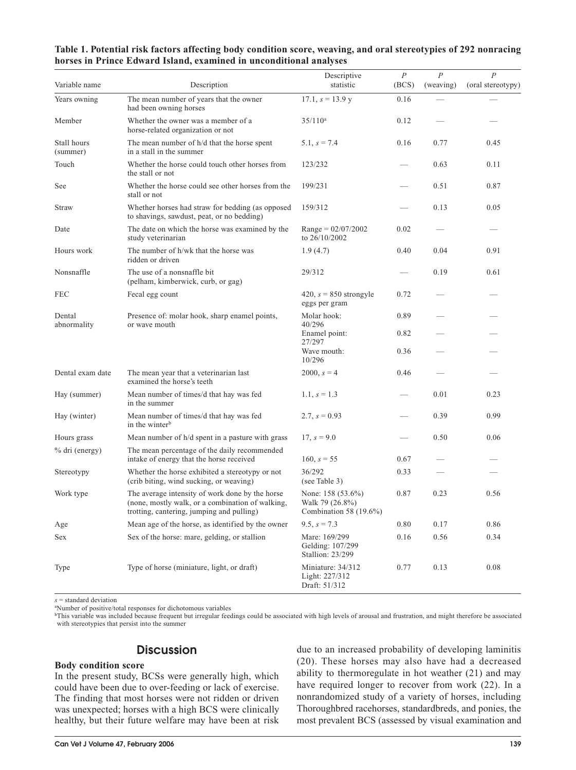| Variable name           | Description                                                                                                                                      | Descriptive<br>statistic                                       | $\boldsymbol{P}$<br>(BCS) | $\boldsymbol{P}$<br>(weaving) | $\boldsymbol{P}$<br>(oral stereotypy) |
|-------------------------|--------------------------------------------------------------------------------------------------------------------------------------------------|----------------------------------------------------------------|---------------------------|-------------------------------|---------------------------------------|
| Years owning            | The mean number of years that the owner<br>had been owning horses                                                                                | $17.1, s = 13.9 y$                                             | 0.16                      |                               |                                       |
| Member                  | Whether the owner was a member of a<br>horse-related organization or not                                                                         | $35/110^a$                                                     | 0.12                      |                               |                                       |
| Stall hours<br>(summer) | The mean number of h/d that the horse spent<br>in a stall in the summer                                                                          | $5.1, s = 7.4$                                                 | 0.16                      | 0.77                          | 0.45                                  |
| Touch                   | Whether the horse could touch other horses from<br>the stall or not                                                                              | 123/232                                                        |                           | 0.63                          | 0.11                                  |
| See                     | Whether the horse could see other horses from the<br>stall or not                                                                                | 199/231                                                        |                           | 0.51                          | 0.87                                  |
| Straw                   | Whether horses had straw for bedding (as opposed<br>to shavings, sawdust, peat, or no bedding)                                                   | 159/312                                                        |                           | 0.13                          | 0.05                                  |
| Date                    | The date on which the horse was examined by the<br>study veterinarian                                                                            | $Range = 02/07/2002$<br>to 26/10/2002                          | 0.02                      |                               |                                       |
| Hours work              | The number of h/wk that the horse was<br>ridden or driven                                                                                        | 1.9(4.7)                                                       | 0.40                      | 0.04                          | 0.91                                  |
| Nonsnaffle              | The use of a nonsnaffle bit<br>(pelham, kimberwick, curb, or gag)                                                                                | 29/312                                                         |                           | 0.19                          | 0.61                                  |
| <b>FEC</b>              | Fecal egg count                                                                                                                                  | 420, $s = 850$ strongyle<br>eggs per gram                      | 0.72                      |                               |                                       |
| Dental<br>abnormality   | Presence of: molar hook, sharp enamel points,<br>or wave mouth                                                                                   | Molar hook:<br>40/296                                          | 0.89                      |                               |                                       |
|                         |                                                                                                                                                  | Enamel point:<br>27/297                                        | 0.82                      |                               |                                       |
|                         |                                                                                                                                                  | Wave mouth:<br>10/296                                          | 0.36                      |                               |                                       |
| Dental exam date        | The mean year that a veterinarian last<br>examined the horse's teeth                                                                             | $2000, s = 4$                                                  | 0.46                      |                               |                                       |
| Hay (summer)            | Mean number of times/d that hay was fed<br>in the summer                                                                                         | 1.1, $s = 1.3$                                                 |                           | 0.01                          | 0.23                                  |
| Hay (winter)            | Mean number of times/d that hay was fed<br>in the winter <sup>b</sup>                                                                            | 2.7, $s = 0.93$                                                |                           | 0.39                          | 0.99                                  |
| Hours grass             | Mean number of h/d spent in a pasture with grass                                                                                                 | 17, $s = 9.0$                                                  |                           | 0.50                          | 0.06                                  |
| % dri (energy)          | The mean percentage of the daily recommended<br>intake of energy that the horse received                                                         | 160, $s = 55$                                                  | 0.67                      |                               |                                       |
| Stereotypy              | Whether the horse exhibited a stereotypy or not<br>(crib biting, wind sucking, or weaving)                                                       | 36/292<br>(see Table 3)                                        | 0.33                      |                               |                                       |
| Work type               | The average intensity of work done by the horse<br>(none, mostly walk, or a combination of walking,<br>trotting, cantering, jumping and pulling) | None: 158 (53.6%)<br>Walk 79 (26.8%)<br>Combination 58 (19.6%) | 0.87                      | 0.23                          | 0.56                                  |
| Age                     | Mean age of the horse, as identified by the owner                                                                                                | $9.5, s = 7.3$                                                 | 0.80                      | 0.17                          | 0.86                                  |
| Sex                     | Sex of the horse: mare, gelding, or stallion                                                                                                     | Mare: 169/299<br>Gelding: 107/299<br>Stallion: 23/299          | 0.16                      | 0.56                          | 0.34                                  |
| Type                    | Type of horse (miniature, light, or draft)                                                                                                       | Miniature: 34/312<br>Light: 227/312<br>Draft: 51/312           | 0.77                      | 0.13                          | 0.08                                  |

**Table 1. Potential risk factors affecting body condition score, weaving, and oral stereotypies of 292 nonracing horses in Prince Edward Island, examined in unconditional analyses**

*s* = standard deviation

a Number of positive/total responses for dichotomous variables

<sup>b</sup>This variable was included because frequent but irregular feedings could be associated with high levels of arousal and frustration, and might therefore be associated with stereotypies that persist into the summer

## **Discussion**

#### **Body condition score**

In the present study, BCSs were generally high, which could have been due to over-feeding or lack of exercise. The finding that most horses were not ridden or driven was unexpected; horses with a high BCS were clinically healthy, but their future welfare may have been at risk due to an increased probability of developing laminitis (20). These horses may also have had a decreased ability to thermoregulate in hot weather (21) and may have required longer to recover from work (22). In a nonrandomized study of a variety of horses, including Thoroughbred racehorses, standardbreds, and ponies, the most prevalent BCS (assessed by visual examination and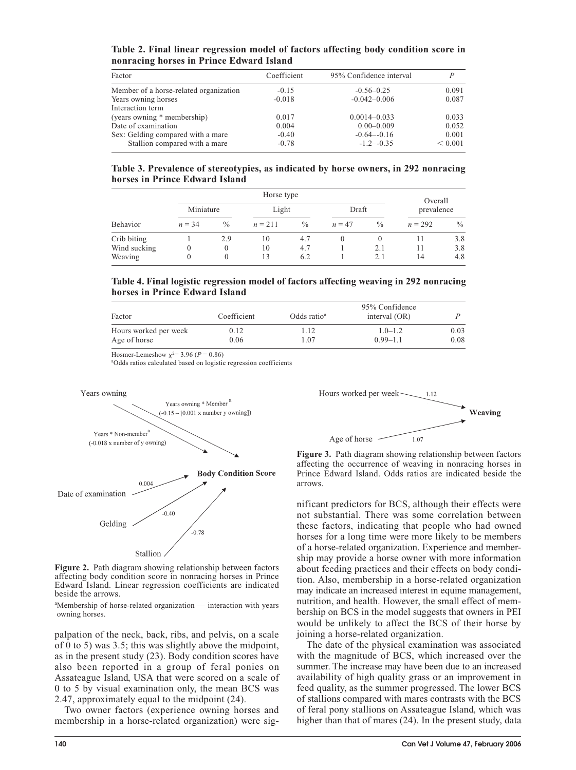**Table 2. Final linear regression model of factors affecting body condition score in nonracing horses in Prince Edward Island**

| Factor                                 | Coefficient | 95% Confidence interval | P       |
|----------------------------------------|-------------|-------------------------|---------|
| Member of a horse-related organization | $-0.15$     | $-0.56 - 0.25$          | 0.091   |
| Years owning horses                    | $-0.018$    | $-0.042 - 0.006$        | 0.087   |
| Interaction term                       |             |                         |         |
| (years owning * membership)            | 0.017       | $0.0014 - 0.033$        | 0.033   |
| Date of examination                    | 0.004       | $0.00 - 0.009$          | 0.052   |
| Sex: Gelding compared with a mare      | $-0.40$     | $-0.64 - 0.16$          | 0.001   |
| Stallion compared with a mare          | $-0.78$     | $-1.2 - -0.35$          | < 0.001 |

**Table 3. Prevalence of stereotypies, as indicated by horse owners, in 292 nonracing horses in Prince Edward Island**

|              |           | Horse type       |           |               |          |               |            | Overall |  |
|--------------|-----------|------------------|-----------|---------------|----------|---------------|------------|---------|--|
|              | Miniature |                  | Light     |               | Draft    |               | prevalence |         |  |
| Behavior     | $n = 34$  | $\frac{0}{0}$    | $n = 211$ | $\frac{0}{0}$ | $n = 47$ | $\frac{0}{0}$ | $n = 292$  | $\%$    |  |
| Crib biting  |           | 2.9              | 10        | 4.7           | $\theta$ |               |            | 3.8     |  |
| Wind sucking | 0         | $\boldsymbol{0}$ | 10        | 4.7           |          | 2.1           | 11         | 3.8     |  |
| Weaving      | 0         | $\theta$         | 13        | 6.2           |          | 2.1           | 14         | 4.8     |  |

**Table 4. Final logistic regression model of factors affecting weaving in 292 nonracing horses in Prince Edward Island**

| Factor                | Coefficient | Odds ratio <sup>a</sup> | 95% Confidence<br>interval $(OR)$ |      |
|-----------------------|-------------|-------------------------|-----------------------------------|------|
| Hours worked per week | 0.12        | .12                     | $1.0 - 1.2$                       | 0.03 |
| Age of horse          | 0.06        | .07                     | $0.99 - 1.1$                      | 0.08 |

Hosmer-Lemeshow  $x^2 = 3.96$  ( $P = 0.86$ )

a Odds ratios calculated based on logistic regression coefficients



**Figure 2.** Path diagram showing relationship between factors affecting body condition score in nonracing horses in Prince Edward Island. Linear regression coefficients are indicated beside the arrows.

<sup>a</sup> Membership of horse-related organization — interaction with years owning horses.

palpation of the neck, back, ribs, and pelvis, on a scale of 0 to 5) was 3.5; this was slightly above the midpoint, as in the present study (23). Body condition scores have also been reported in a group of feral ponies on Assateague Island, USA that were scored on a scale of 0 to 5 by visual examination only, the mean BCS was 2.47, approximately equal to the midpoint (24).

Two owner factors (experience owning horses and membership in a horse-related organization) were sig-



**Figure 3.** Path diagram showing relationship between factors affecting the occurrence of weaving in nonracing horses in Prince Edward Island. Odds ratios are indicated beside the arrows.

nificant predictors for BCS, although their effects were not substantial. There was some correlation between these factors, indicating that people who had owned horses for a long time were more likely to be members of a horse-related organization. Experience and membership may provide a horse owner with more information about feeding practices and their effects on body condition. Also, membership in a horse-related organization may indicate an increased interest in equine management, nutrition, and health. However, the small effect of membership on BCS in the model suggests that owners in PEI would be unlikely to affect the BCS of their horse by joining a horse-related organization.

The date of the physical examination was associated with the magnitude of BCS, which increased over the summer. The increase may have been due to an increased availability of high quality grass or an improvement in feed quality, as the summer progressed. The lower BCS of stallions compared with mares contrasts with the BCS of feral pony stallions on Assateague Island, which was higher than that of mares (24). In the present study, data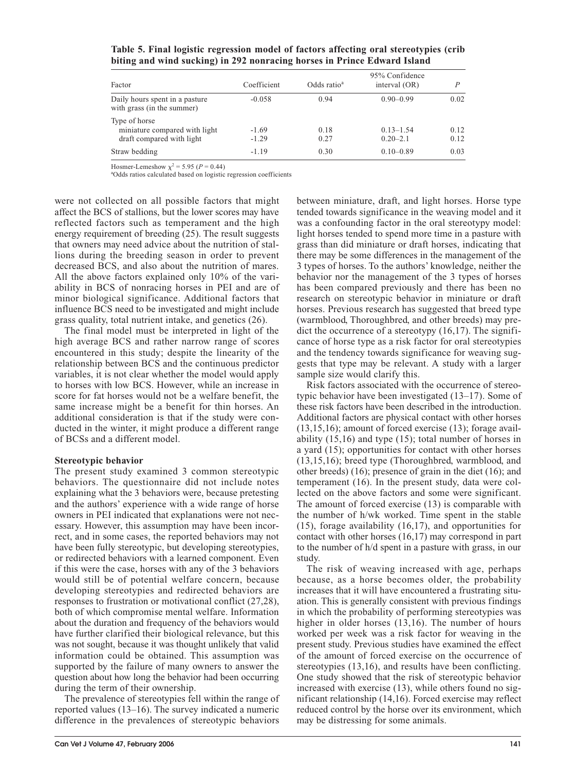| Factor                                                                      | Coefficient        | Odds ratio <sup>a</sup> | 95% Confidence<br>interval $(OR)$ | D            |
|-----------------------------------------------------------------------------|--------------------|-------------------------|-----------------------------------|--------------|
| Daily hours spent in a pasture<br>with grass (in the summer)                | $-0.058$           | 0.94                    | $0.90 - 0.99$                     | 0.02         |
| Type of horse<br>miniature compared with light<br>draft compared with light | $-1.69$<br>$-1.29$ | 0.18<br>0.27            | $0.13 - 1.54$<br>$0.20 - 2.1$     | 0.12<br>0.12 |
| Straw bedding                                                               | $-1.19$            | 0.30                    | $0.10 - 0.89$                     | 0.03         |

**Table 5. Final logistic regression model of factors affecting oral stereotypies (crib biting and wind sucking) in 292 nonracing horses in Prince Edward Island**

Hosmer-Lemeshow  $\chi^2 = 5.95$  ( $P = 0.44$ )

a Odds ratios calculated based on logistic regression coefficients

were not collected on all possible factors that might affect the BCS of stallions, but the lower scores may have reflected factors such as temperament and the high energy requirement of breeding (25). The result suggests that owners may need advice about the nutrition of stallions during the breeding season in order to prevent decreased BCS, and also about the nutrition of mares. All the above factors explained only 10% of the variability in BCS of nonracing horses in PEI and are of minor biological significance. Additional factors that influence BCS need to be investigated and might include grass quality, total nutrient intake, and genetics (26).

The final model must be interpreted in light of the high average BCS and rather narrow range of scores encountered in this study; despite the linearity of the relationship between BCS and the continuous predictor variables, it is not clear whether the model would apply to horses with low BCS. However, while an increase in score for fat horses would not be a welfare benefit, the same increase might be a benefit for thin horses. An additional consideration is that if the study were conducted in the winter, it might produce a different range of BCSs and a different model.

#### **Stereotypic behavior**

The present study examined 3 common stereotypic behaviors. The questionnaire did not include notes explaining what the 3 behaviors were, because pretesting and the authors' experience with a wide range of horse owners in PEI indicated that explanations were not necessary. However, this assumption may have been incorrect, and in some cases, the reported behaviors may not have been fully stereotypic, but developing stereotypies, or redirected behaviors with a learned component. Even if this were the case, horses with any of the 3 behaviors would still be of potential welfare concern, because developing stereotypies and redirected behaviors are responses to frustration or motivational conflict (27,28), both of which compromise mental welfare. Information about the duration and frequency of the behaviors would have further clarified their biological relevance, but this was not sought, because it was thought unlikely that valid information could be obtained. This assumption was supported by the failure of many owners to answer the question about how long the behavior had been occurring during the term of their ownership.

The prevalence of stereotypies fell within the range of reported values (13–16). The survey indicated a numeric difference in the prevalences of stereotypic behaviors

between miniature, draft, and light horses. Horse type tended towards significance in the weaving model and it was a confounding factor in the oral stereotypy model: light horses tended to spend more time in a pasture with grass than did miniature or draft horses, indicating that there may be some differences in the management of the 3 types of horses. To the authors' knowledge, neither the behavior nor the management of the 3 types of horses has been compared previously and there has been no research on stereotypic behavior in miniature or draft horses. Previous research has suggested that breed type (warmblood, Thoroughbred, and other breeds) may predict the occurrence of a stereotypy (16,17). The significance of horse type as a risk factor for oral stereotypies and the tendency towards significance for weaving suggests that type may be relevant. A study with a larger sample size would clarify this.

Risk factors associated with the occurrence of stereotypic behavior have been investigated (13–17). Some of these risk factors have been described in the introduction. Additional factors are physical contact with other horses (13,15,16); amount of forced exercise (13); forage availability (15,16) and type (15); total number of horses in a yard (15); opportunities for contact with other horses (13,15,16); breed type (Thoroughbred, warmblood, and other breeds) (16); presence of grain in the diet (16); and temperament (16). In the present study, data were collected on the above factors and some were significant. The amount of forced exercise (13) is comparable with the number of h/wk worked. Time spent in the stable (15), forage availability (16,17), and opportunities for contact with other horses (16,17) may correspond in part to the number of h/d spent in a pasture with grass, in our study.

The risk of weaving increased with age, perhaps because, as a horse becomes older, the probability increases that it will have encountered a frustrating situation. This is generally consistent with previous findings in which the probability of performing stereotypies was higher in older horses (13,16). The number of hours worked per week was a risk factor for weaving in the present study. Previous studies have examined the effect of the amount of forced exercise on the occurrence of stereotypies (13,16), and results have been conflicting. One study showed that the risk of stereotypic behavior increased with exercise (13), while others found no significant relationship (14,16). Forced exercise may reflect reduced control by the horse over its environment, which may be distressing for some animals.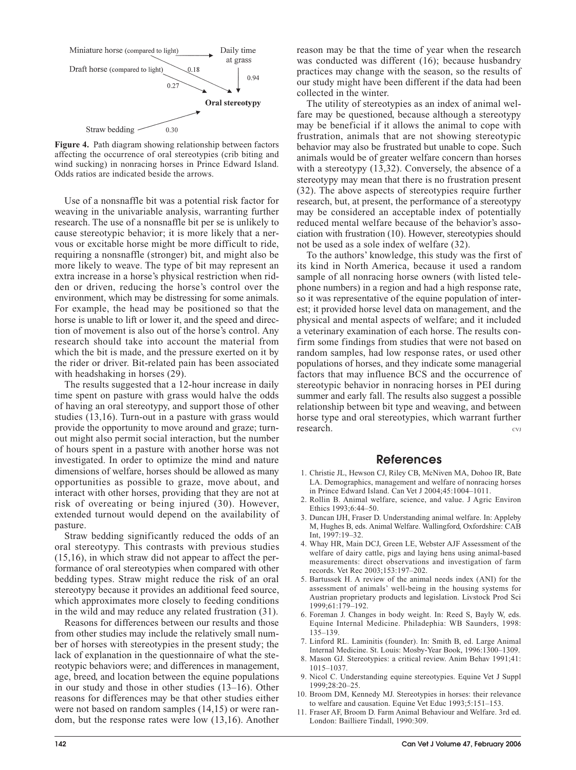

**Figure 4.** Path diagram showing relationship between factors affecting the occurrence of oral stereotypies (crib biting and wind sucking) in nonracing horses in Prince Edward Island. Odds ratios are indicated beside the arrows.

Use of a nonsnaffle bit was a potential risk factor for weaving in the univariable analysis, warranting further research. The use of a nonsnaffle bit per se is unlikely to cause stereotypic behavior; it is more likely that a nervous or excitable horse might be more difficult to ride, requiring a nonsnaffle (stronger) bit, and might also be more likely to weave. The type of bit may represent an extra increase in a horse's physical restriction when ridden or driven, reducing the horse's control over the environment, which may be distressing for some animals. For example, the head may be positioned so that the horse is unable to lift or lower it, and the speed and direction of movement is also out of the horse's control. Any research should take into account the material from which the bit is made, and the pressure exerted on it by the rider or driver. Bit-related pain has been associated with headshaking in horses (29).

The results suggested that a 12-hour increase in daily time spent on pasture with grass would halve the odds of having an oral stereotypy, and support those of other studies (13,16). Turn-out in a pasture with grass would provide the opportunity to move around and graze; turnout might also permit social interaction, but the number of hours spent in a pasture with another horse was not investigated. In order to optimize the mind and nature dimensions of welfare, horses should be allowed as many opportunities as possible to graze, move about, and interact with other horses, providing that they are not at risk of overeating or being injured (30). However, extended turnout would depend on the availability of pasture.

Straw bedding significantly reduced the odds of an oral stereotypy. This contrasts with previous studies (15,16), in which straw did not appear to affect the performance of oral stereotypies when compared with other bedding types. Straw might reduce the risk of an oral stereotypy because it provides an additional feed source, which approximates more closely to feeding conditions in the wild and may reduce any related frustration (31).

Reasons for differences between our results and those from other studies may include the relatively small number of horses with stereotypies in the present study; the lack of explanation in the questionnaire of what the stereotypic behaviors were; and differences in management, age, breed, and location between the equine populations in our study and those in other studies (13–16). Other reasons for differences may be that other studies either were not based on random samples (14,15) or were random, but the response rates were low (13,16). Another reason may be that the time of year when the research was conducted was different (16); because husbandry practices may change with the season, so the results of our study might have been different if the data had been collected in the winter.

The utility of stereotypies as an index of animal welfare may be questioned, because although a stereotypy may be beneficial if it allows the animal to cope with frustration, animals that are not showing stereotypic behavior may also be frustrated but unable to cope. Such animals would be of greater welfare concern than horses with a stereotypy (13,32). Conversely, the absence of a stereotypy may mean that there is no frustration present (32). The above aspects of stereotypies require further research, but, at present, the performance of a stereotypy may be considered an acceptable index of potentially reduced mental welfare because of the behavior's association with frustration (10). However, stereotypies should not be used as a sole index of welfare (32).

To the authors' knowledge, this study was the first of its kind in North America, because it used a random sample of all nonracing horse owners (with listed telephone numbers) in a region and had a high response rate, so it was representative of the equine population of interest; it provided horse level data on management, and the physical and mental aspects of welfare; and it included a veterinary examination of each horse. The results confirm some findings from studies that were not based on random samples, had low response rates, or used other populations of horses, and they indicate some managerial factors that may influence BCS and the occurrence of stereotypic behavior in nonracing horses in PEI during summer and early fall. The results also suggest a possible relationship between bit type and weaving, and between horse type and oral stereotypies, which warrant further research. CVJ

### References

- 1. Christie JL, Hewson CJ, Riley CB, McNiven MA, Dohoo IR, Bate LA. Demographics, management and welfare of nonracing horses in Prince Edward Island. Can Vet J 2004;45:1004–1011.
- 2. Rollin B. Animal welfare, science, and value. J Agric Environ Ethics 1993;6:44–50.
- 3. Duncan IJH, Fraser D. Understanding animal welfare. In: Appleby M, Hughes B, eds. Animal Welfare. Wallingford, Oxfordshire: CAB Int, 1997:19–32.
- 4. Whay HR, Main DCJ, Green LE, Webster AJF Assessment of the welfare of dairy cattle, pigs and laying hens using animal-based measurements: direct observations and investigation of farm records. Vet Rec 2003;153:197–202.
- 5. Bartussek H. A review of the animal needs index (ANI) for the assessment of animals' well-being in the housing systems for Austrian proprietary products and legislation. Livstock Prod Sci 1999;61:179–192.
- 6. Foreman J. Changes in body weight. In: Reed S, Bayly W, eds. Equine Internal Medicine. Philadephia: WB Saunders, 1998: 135–139.
- 7. Linford RL. Laminitis (founder). In: Smith B, ed. Large Animal Internal Medicine. St. Louis: Mosby-Year Book, 1996:1300–1309.
- 8. Mason GJ. Stereotypies: a critical review. Anim Behav 1991;41: 1015–1037.
- 9. Nicol C. Understanding equine stereotypies. Equine Vet J Suppl 1999;28:20–25.
- 10. Broom DM, Kennedy MJ. Stereotypies in horses: their relevance to welfare and causation. Equine Vet Educ 1993;5:151–153.
- 11. Fraser AF, Broom D. Farm Animal Behaviour and Welfare. 3rd ed. London: Bailliere Tindall, 1990:309.